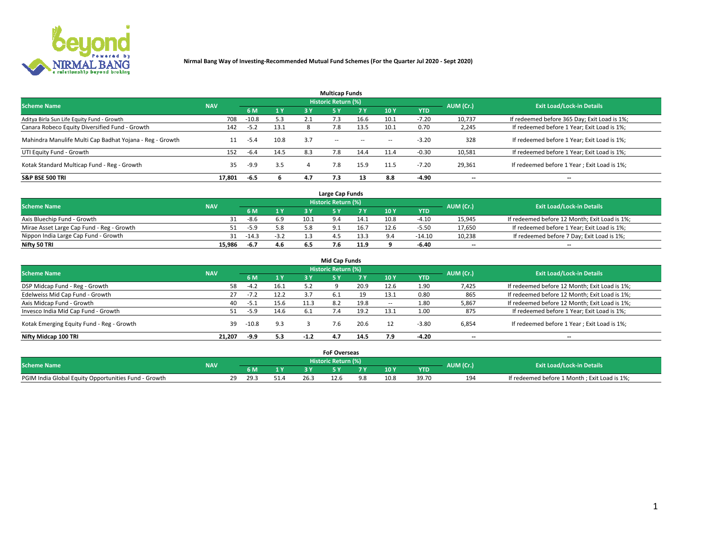

|                                                          |            |         |      |     | <b>Multicap Funds</b> |           |                          |            |           |                                              |
|----------------------------------------------------------|------------|---------|------|-----|-----------------------|-----------|--------------------------|------------|-----------|----------------------------------------------|
| <b>Scheme Name</b>                                       | <b>NAV</b> |         |      |     | Historic Return (%)   |           |                          |            | AUM (Cr.) | <b>Exit Load/Lock-in Details</b>             |
|                                                          |            | 6 M     | 1 Y  | 3 Y | <b>5Y</b>             | <b>7Y</b> | 10Y                      | <b>YTD</b> |           |                                              |
| Aditya Birla Sun Life Equity Fund - Growth               | 708        | $-10.8$ | 5.3  |     |                       | 16.6      | 10.1                     | $-7.20$    | 10,737    | If redeemed before 365 Day; Exit Load is 1%; |
| Canara Robeco Equity Diversified Fund - Growth           | 142        | $-5.2$  | 13.1 |     | 7.8                   | 13.5      | 10.1                     | 0.70       | 2,245     | If redeemed before 1 Year; Exit Load is 1%;  |
| Mahindra Manulife Multi Cap Badhat Yojana - Reg - Growth | 11         | -5.4    | 10.8 | 3.7 | $\sim$ $-$            | $\sim$    | $\overline{\phantom{a}}$ | $-3.20$    | 328       | If redeemed before 1 Year; Exit Load is 1%;  |
| UTI Equity Fund - Growth                                 | 152        | $-6.4$  | 14.5 | 8.3 | 7.8                   | 14.4      | 11.4                     | $-0.30$    | 10,581    | If redeemed before 1 Year; Exit Load is 1%;  |
| Kotak Standard Multicap Fund - Reg - Growth              | 35         | $-9.9$  | 3.5  |     | 7.8                   | 15.9      | 11.5                     | $-7.20$    | 29,361    | If redeemed before 1 Year; Exit Load is 1%;  |
| <b>S&amp;P BSE 500 TRI</b>                               | 17.801     | -6.5    |      | 4.7 | 7.3                   |           | 8.8                      | $-4.90$    | --        | $- -$                                        |

|                                           |            |         |                |      | Large Cap Funds     |      |      |            |                          |                                               |
|-------------------------------------------|------------|---------|----------------|------|---------------------|------|------|------------|--------------------------|-----------------------------------------------|
| <b>Scheme Name</b>                        | <b>NAV</b> |         |                |      | Historic Return (%) |      |      |            | AUM (Cr.)                | <b>Exit Load/Lock-in Details</b>              |
|                                           |            | 6 M     | 4 <sub>Y</sub> |      |                     |      | 10 Y | <b>YTD</b> |                          |                                               |
| Axis Bluechip Fund - Growth               |            | $-8.6$  | 6.9            | 10.1 |                     | 14.1 | 10.8 | $-4.10$    | 15,945                   | If redeemed before 12 Month; Exit Load is 1%; |
| Mirae Asset Large Cap Fund - Reg - Growth |            | $-5.9$  | 5.8            |      |                     | 16.7 | 12.6 | $-5.50$    | 17,650                   | If redeemed before 1 Year; Exit Load is 1%;   |
| Nippon India Large Cap Fund - Growth      |            | $-14.3$ | $-3.2$         |      |                     | 13.3 |      | $-14.10$   | 10,238                   | If redeemed before 7 Day; Exit Load is 1%;    |
| Nifty 50 TRI                              | 15.986     | $-6.7$  | 4.6            |      |                     | 11.9 |      | $-6.40$    | $\overline{\phantom{a}}$ | $- -$                                         |

|                                           |            |         |      |        | <b>Mid Cap Funds</b>       |           |                          |            |                          |                                               |
|-------------------------------------------|------------|---------|------|--------|----------------------------|-----------|--------------------------|------------|--------------------------|-----------------------------------------------|
| <b>Scheme Name</b>                        | <b>NAV</b> |         |      |        | <b>Historic Return (%)</b> |           |                          |            | AUM (Cr.)                | <b>Exit Load/Lock-in Details</b>              |
|                                           |            | 6 M     | 1 Y  | 3 Y    |                            | <b>7Y</b> | 10Y                      | <b>YTD</b> |                          |                                               |
| DSP Midcap Fund - Reg - Growth            | 58         | $-4.2$  | 16.1 | 5.2    |                            | 20.9      | 12.6                     | 1.90       | 7,425                    | If redeemed before 12 Month; Exit Load is 1%; |
| Edelweiss Mid Cap Fund - Growth           | 27         | $-7.2$  | 12.2 | 3.7    | 6.1                        | 19        | 13.1                     | 0.80       | 865                      | If redeemed before 12 Month; Exit Load is 1%; |
| Axis Midcap Fund - Growth                 | 40         | -5.1    | 15.6 | 11.3   | 8.2                        | 19.8      | $\overline{\phantom{a}}$ | 1.80       | 5,867                    | If redeemed before 12 Month; Exit Load is 1%; |
| Invesco India Mid Cap Fund - Growth       | 51         | $-5.9$  | 14.6 |        |                            | 19.2      | 13.1                     | 1.00       | 875                      | If redeemed before 1 Year; Exit Load is 1%;   |
| Kotak Emerging Equity Fund - Reg - Growth | 39         | $-10.8$ | 9.3  |        |                            | 20.6      |                          | $-3.80$    | 6,854                    | If redeemed before 1 Year; Exit Load is 1%;   |
| Nifty Midcap 100 TRI                      | 21.207     | -9.9    | 5.3  | $-1.2$ | 4.7                        | 14.5      | 7.9                      | $-4.20$    | $\overline{\phantom{a}}$ | $- -$                                         |

|                                                      |            |                         |   |     | <b>FoF Overseas</b>        |      |            |           |                                              |
|------------------------------------------------------|------------|-------------------------|---|-----|----------------------------|------|------------|-----------|----------------------------------------------|
| <b>Scheme Name</b>                                   | <b>NAV</b> |                         |   |     | <b>Historic Return (%)</b> |      |            | AUM (Cr.) | <b>Exit Load/Lock-in Details</b>             |
|                                                      |            | 6 M                     |   |     |                            | 10Y  | <b>YTD</b> |           |                                              |
| PGIM India Global Equity Opportunities Fund - Growth |            | າດ<br>29.3<br><u>_ </u> | ـ | ∴26 | 12.b                       | 10.8 |            | 194       | If redeemed before 1 Month; Exit Load is 1%; |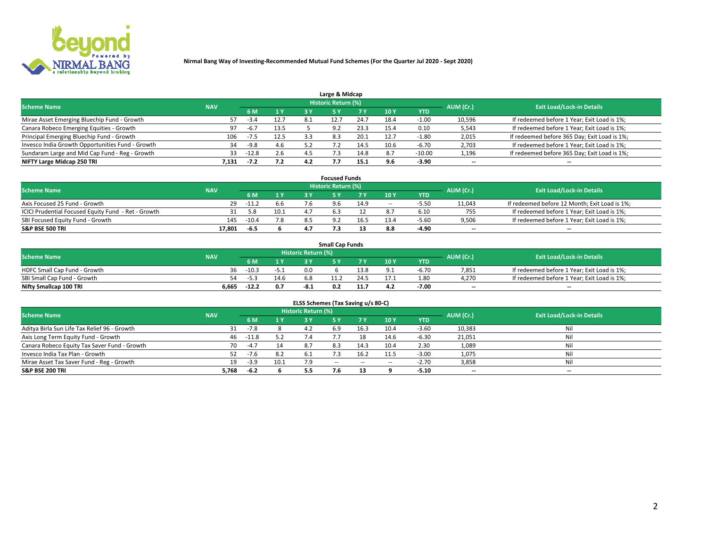

| Large & Midcap                                   |            |         |      |      |                     |      |      |            |                          |                                              |  |  |  |  |
|--------------------------------------------------|------------|---------|------|------|---------------------|------|------|------------|--------------------------|----------------------------------------------|--|--|--|--|
| <b>Scheme Name</b>                               | <b>NAV</b> |         |      |      | Historic Return (%) |      |      |            | AUM (Cr.)                | <b>Exit Load/Lock-in Details</b>             |  |  |  |  |
|                                                  |            | 6 M     | 1 Y  |      |                     | 7 V  | 10Y  | <b>YTD</b> |                          |                                              |  |  |  |  |
| Mirae Asset Emerging Bluechip Fund - Growth      | 57         |         | 12.7 | -8.1 |                     | 24.7 | 18.4 | 1.00       | 10,596                   | If redeemed before 1 Year; Exit Load is 1%;  |  |  |  |  |
| Canara Robeco Emerging Equities - Growth         | 97         | $-6.7$  | 13.5 |      | 9.2                 | 23.3 | 15.4 | 0.10       | 5,543                    | If redeemed before 1 Year; Exit Load is 1%;  |  |  |  |  |
| Principal Emerging Bluechip Fund - Growth        | 106        | -7.5    | 12.5 |      | 8.3                 | 20.1 | 12.7 | $-1.80$    | 2,015                    | If redeemed before 365 Day; Exit Load is 1%; |  |  |  |  |
| Invesco India Growth Opportunities Fund - Growth | 34         | -9.8    | 4.6  |      |                     | 14.5 | 10.6 | $-6.70$    | 2,703                    | If redeemed before 1 Year; Exit Load is 1%;  |  |  |  |  |
| Sundaram Large and Mid Cap Fund - Reg - Growth   | 33         | $-12.8$ | 2.6  |      |                     | 14.8 | 8.7  | $-10.00$   | 1,196                    | If redeemed before 365 Day; Exit Load is 1%; |  |  |  |  |
| NIFTY Large Midcap 250 TRI                       | 7.131      |         | 7.2  | 4.2  |                     | 15.1 |      | $-3.90$    | $\overline{\phantom{a}}$ | $- -$                                        |  |  |  |  |

|                                                     |            |         |      | <b>Focused Funds</b>       |      |        |            |                          |                                               |
|-----------------------------------------------------|------------|---------|------|----------------------------|------|--------|------------|--------------------------|-----------------------------------------------|
| <b>Scheme Name</b>                                  | <b>NAV</b> |         |      | <b>Historic Return (%)</b> |      |        |            | AUM (Cr.)                | <b>Exit Load/Lock-in Details</b>              |
|                                                     |            | 6 M     | 1 Y  |                            |      | 10 Y   | <b>YTD</b> |                          |                                               |
| Axis Focused 25 Fund - Growth                       | 29         | $-11.2$ | 6.6  | 9.6                        | 14.9 | $\sim$ | $-5.5o$    | 11,043                   | If redeemed before 12 Month; Exit Load is 1%; |
| ICICI Prudential Focused Equity Fund - Ret - Growth |            | 5.8     | 10.1 |                            |      |        | 6.10       | 755                      | If redeemed before 1 Year; Exit Load is 1%;   |
| SBI Focused Equity Fund - Growth                    | 145        | $-10.4$ | 7.8  |                            | 16.5 | 13.4   | $-5.60$    | 9,506                    | If redeemed before 1 Year; Exit Load is 1%;   |
| S&P BSE 500 TRI                                     | 17.801     | $-6.5$  |      |                            |      |        | -4.90      | $\overline{\phantom{a}}$ | $- -$                                         |

| <b>Small Cap Funds</b>       |            |         |        |                     |     |      |        |            |           |                                             |  |  |  |
|------------------------------|------------|---------|--------|---------------------|-----|------|--------|------------|-----------|---------------------------------------------|--|--|--|
| <b>Scheme Name</b>           | <b>NAV</b> |         |        | Historic Return (%) |     |      |        |            | AUM (Cr.) | <b>Exit Load/Lock-in Details</b>            |  |  |  |
|                              |            | 6 M     | 1 Y    |                     |     |      | $-10Y$ | <b>YTD</b> |           |                                             |  |  |  |
| HDFC Small Cap Fund - Growth | 36.        | $-10.3$ | $-5.1$ | 0.0                 |     | 13.8 |        | -6.70      | 7,851     | If redeemed before 1 Year; Exit Load is 1%; |  |  |  |
| SBI Small Cap Fund - Growth  | 54         | -5.3    | 14.6   | 6.8                 |     |      |        | 1.80       | 4.270     | If redeemed before 1 Year; Exit Load is 1%; |  |  |  |
| Nifty Smallcap 100 TRI       | 6.665      | $-12.2$ | 0.7    | -8.1                | 0.2 |      | 4.2    | -7.00      | $- -$     | $- -$                                       |  |  |  |

| ELSS Schemes (Tax Saving u/s 80-C)           |            |          |      |                            |            |           |                          |            |                          |                                  |  |  |  |
|----------------------------------------------|------------|----------|------|----------------------------|------------|-----------|--------------------------|------------|--------------------------|----------------------------------|--|--|--|
| <b>Scheme Name</b>                           | <b>NAV</b> |          |      | <b>Historic Return (%)</b> |            |           |                          |            | AUM (Cr.)                | <b>Exit Load/Lock-in Details</b> |  |  |  |
|                                              |            | - 6 M    | 1Y   | 3 Y                        | <b>5Y</b>  | <b>7Y</b> | 10Y                      | <b>YTD</b> |                          |                                  |  |  |  |
| Aditya Birla Sun Life Tax Relief 96 - Growth | 31         | $-7.8$   |      | 4.2                        | 6.9        | 16.3      | 10.4                     | $-3.60$    | 10,383                   | Nil                              |  |  |  |
| Axis Long Term Equity Fund - Growth          |            | 46 -11.8 | 5.2  |                            |            |           | 14.6                     | $-6.30$    | 21,051                   | Nil                              |  |  |  |
| Canara Robeco Equity Tax Saver Fund - Growth | 70         | $-4.7$   | 14   | 8.7                        | 8.3        | 14.3      | 10.4                     | 2.30       | 1,089                    | Nil                              |  |  |  |
| Invesco India Tax Plan - Growth              |            | $-7.6$   | 8.2  |                            |            | 16.2      | 11.5                     | $-3.00$    | 1,075                    | Nil                              |  |  |  |
| Mirae Asset Tax Saver Fund - Reg - Growth    | 19         | $-3.9$   | 10.1 |                            | $\sim$ $-$ | $\sim$    | $\overline{\phantom{a}}$ | $-2.70$    | 3,858                    | Nil                              |  |  |  |
| S&P BSE 200 TRI                              | 5,768      | $-6.2$   |      |                            |            |           |                          | $-5.10$    | $\overline{\phantom{a}}$ | $- -$                            |  |  |  |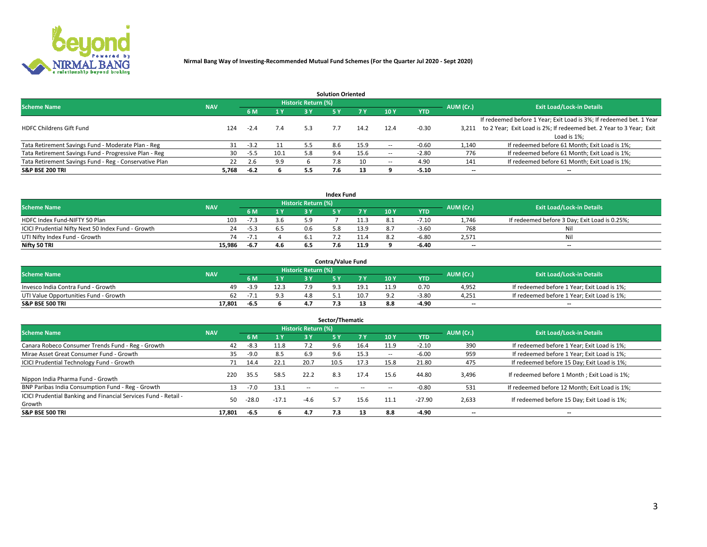

|                                                        |            |        |      |                     | <b>Solution Oriented</b> |      |                          |            |           |                                                                     |
|--------------------------------------------------------|------------|--------|------|---------------------|--------------------------|------|--------------------------|------------|-----------|---------------------------------------------------------------------|
| <b>Scheme Name</b>                                     | <b>NAV</b> |        |      | Historic Return (%) |                          |      |                          |            | AUM (Cr.) | <b>Exit Load/Lock-in Details</b>                                    |
|                                                        |            | -6 M   |      | 3 V                 |                          | 7 Y  | 10Y                      | <b>YTD</b> |           |                                                                     |
|                                                        |            |        |      |                     |                          |      |                          |            |           | If redeemed before 1 Year; Exit Load is 3%; If redeemed bet. 1 Year |
| <b>HDFC Childrens Gift Fund</b>                        | 124        | $-2.4$ | 7.4  | 5.3                 |                          | 14.2 |                          | $-0.30$    | 3.211     | to 2 Year; Exit Load is 2%; If redeemed bet. 2 Year to 3 Year; Exit |
|                                                        |            |        |      |                     |                          |      |                          |            |           | Load is 1%;                                                         |
| Tata Retirement Savings Fund - Moderate Plan - Reg     | 31         | $-3.2$ | 11   | 5.5                 | 8.6                      | 15.9 | $\overline{\phantom{a}}$ | $-0.60$    | 1,140     | If redeemed before 61 Month; Exit Load is 1%;                       |
| Tata Retirement Savings Fund - Progressive Plan - Reg  | 30         | $-5.5$ | 10.1 | 5.8                 | 9.4                      | 15.6 | $\overline{\phantom{a}}$ | $-2.80$    | 776       | If redeemed before 61 Month; Exit Load is 1%;                       |
| Tata Retirement Savings Fund - Reg - Conservative Plan | 22         | 2.6    | 9.9  |                     | 7.8                      |      | --                       | 4.90       | 141       | If redeemed before 61 Month; Exit Load is 1%;                       |
| S&P BSE 200 TRI                                        | 5,768      | $-6.2$ |      | -5.5                |                          |      |                          | $-5.10$    | --        | --                                                                  |

|                                                    |            |        |     |                     | <b>Index Fund</b> |      |      |            |                          |                                               |
|----------------------------------------------------|------------|--------|-----|---------------------|-------------------|------|------|------------|--------------------------|-----------------------------------------------|
| <b>Scheme Name</b>                                 | <b>NAV</b> |        |     | Historic Return (%) |                   |      |      |            | AUM (Cr.)                | <b>Exit Load/Lock-in Details</b>              |
|                                                    |            | 6 M    | 1 Y | 2 V                 |                   |      | 10 Y | <b>YTD</b> |                          |                                               |
| HDFC Index Fund-NIFTY 50 Plan                      | 103        | -7.3   | 3.6 |                     |                   | 11.3 | -8.1 | $-7.10$    | 1.746                    | If redeemed before 3 Day; Exit Load is 0.25%; |
| ICICI Prudential Nifty Next 50 Index Fund - Growth | 24         | $-5.3$ | 6.5 |                     |                   | 13.9 |      | $-3.60$    | 768                      |                                               |
| UTI Nifty Index Fund - Growth                      | 74         | $-1.1$ |     |                     |                   |      | 8.2  | $-6.80$    | 2,571                    | Nil                                           |
| Nifty 50 TRI                                       | 15,986     | -6.7   | 4.6 |                     |                   | 11.9 |      | $-6.40$    | $\overline{\phantom{a}}$ | $- -$                                         |

|                                       |            |        |      |                            | <b>Contra/Value Fund</b> |      |      |            |                          |                                             |
|---------------------------------------|------------|--------|------|----------------------------|--------------------------|------|------|------------|--------------------------|---------------------------------------------|
| <b>Scheme Name</b>                    | <b>NAV</b> |        |      | <b>Historic Return (%)</b> |                          |      |      |            | AUM (Cr.)                | <b>Exit Load/Lock-in Details</b>            |
|                                       |            |        | 1 V  |                            |                          | 7 V  | 10Y  | <b>YTD</b> |                          |                                             |
| Invesco India Contra Fund - Growth    | 49         | $-3.9$ | 12.3 |                            |                          | 19.1 | 11.S | 0.70       | 4.952                    | If redeemed before 1 Year; Exit Load is 1%; |
| UTI Value Opportunities Fund - Growth | 62         | -7.1   |      |                            |                          | 10.7 |      | $-3.80$    | 4,251                    | If redeemed before 1 Year; Exit Load is 1%; |
| <b>S&amp;P BSE 500 TRI</b>            | 17.801     | -6.5   |      |                            |                          |      |      | $-4.90$    | $\overline{\phantom{a}}$ | $- -$                                       |

| Sector/Thematic                                                           |            |         |                |                            |           |      |                          |            |           |                                               |  |  |  |
|---------------------------------------------------------------------------|------------|---------|----------------|----------------------------|-----------|------|--------------------------|------------|-----------|-----------------------------------------------|--|--|--|
| <b>Scheme Name</b>                                                        | <b>NAV</b> |         |                | <b>Historic Return (%)</b> |           |      |                          |            | AUM (Cr.) | <b>Exit Load/Lock-in Details</b>              |  |  |  |
|                                                                           |            | 6 M     | 1 <sub>Y</sub> | 3 Y                        | <b>5Y</b> | 7 Y  | 10Y                      | <b>YTD</b> |           |                                               |  |  |  |
| Canara Robeco Consumer Trends Fund - Reg - Growth                         | 42         | $-8.3$  | 11.8           |                            | 9.6       | 16.4 | 11.9                     | $-2.10$    | 390       | If redeemed before 1 Year; Exit Load is 1%;   |  |  |  |
| Mirae Asset Great Consumer Fund - Growth                                  | 35         | -9.0    | 8.5            | 6.9                        | 9.6       | 15.3 | $\overline{\phantom{a}}$ | $-6.00$    | 959       | If redeemed before 1 Year; Exit Load is 1%;   |  |  |  |
| <b>ICICI Prudential Technology Fund - Growth</b>                          | 71         | 14.4    | 22.1           | 20.7                       | 10.5      | 17.3 | 15.8                     | 21.80      | 475       | If redeemed before 15 Day; Exit Load is 1%;   |  |  |  |
| Nippon India Pharma Fund - Growth                                         | 220        | 35.5    | 58.5           | 22.2                       | 8.3       | 17.4 | 15.6                     | 44.80      | 3,496     | If redeemed before 1 Month; Exit Load is 1%;  |  |  |  |
| BNP Paribas India Consumption Fund - Reg - Growth                         |            | $-7.0$  | 13.1           | $-$                        |           | --   | -                        | $-0.80$    | 531       | If redeemed before 12 Month; Exit Load is 1%; |  |  |  |
| ICICI Prudential Banking and Financial Services Fund - Retail -<br>Growth | 50         | $-28.0$ | $-17.1$        | $-4.6$                     | 5.7       | 15.6 | 11.1                     | $-27.90$   | 2,633     | If redeemed before 15 Day; Exit Load is 1%;   |  |  |  |
| <b>S&amp;P BSE 500 TRI</b>                                                | 17,801     | -6.5    |                | 4.7                        | 7.3       | 13   | 8.8                      | $-4.90$    |           | --                                            |  |  |  |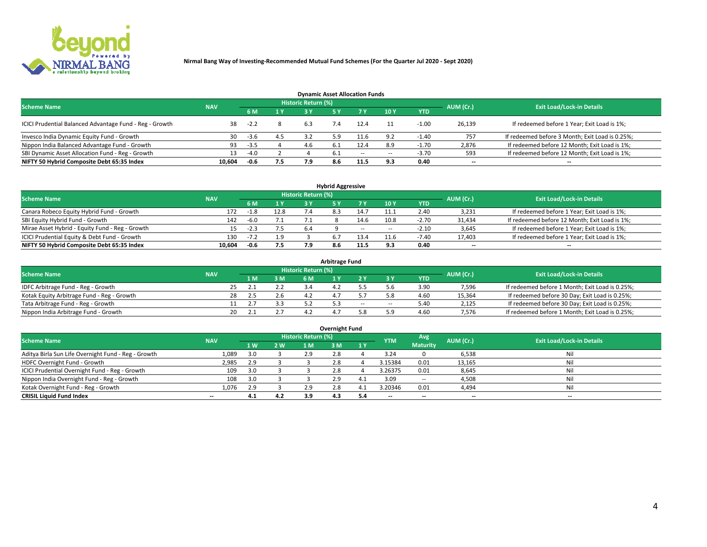

| <b>Dynamic Asset Allocation Funds</b>                   |            |        |     |                            |     |        |                          |            |           |                                                 |  |  |  |  |
|---------------------------------------------------------|------------|--------|-----|----------------------------|-----|--------|--------------------------|------------|-----------|-------------------------------------------------|--|--|--|--|
| <b>Scheme Name</b>                                      | <b>NAV</b> |        |     | <b>Historic Return (%)</b> |     |        |                          |            | AUM (Cr.) | <b>Exit Load/Lock-in Details</b>                |  |  |  |  |
|                                                         |            | 6 M    | 1 Y |                            |     |        | $-10Y$                   | <b>YTD</b> |           |                                                 |  |  |  |  |
| ICICI Prudential Balanced Advantage Fund - Reg - Growth |            | $-2.2$ |     | 6.3                        |     | 12.4   |                          | $-1.00$    | 26,139    | If redeemed before 1 Year; Exit Load is 1%;     |  |  |  |  |
| Invesco India Dynamic Equity Fund - Growth              | 30         | $-3.6$ | 4.5 |                            | 5.9 | 11.6   | 9.2                      | $-1.40$    | 757       | If redeemed before 3 Month; Exit Load is 0.25%; |  |  |  |  |
| Nippon India Balanced Advantage Fund - Growth           | 93         | -3.5   |     | 4.b                        | b.1 | 12.4   | 8.9                      | $-1.70$    | 2,876     | If redeemed before 12 Month; Exit Load is 1%;   |  |  |  |  |
| SBI Dynamic Asset Allocation Fund - Reg - Growth        |            | $-4.0$ |     |                            | 6.1 | $\sim$ | $\overline{\phantom{a}}$ | $-3.70$    | 593       | If redeemed before 12 Month; Exit Load is 1%;   |  |  |  |  |
| NIFTY 50 Hybrid Composite Debt 65:35 Index              | 10,604     | -0.6   | 7.5 | 7.9                        | 8.6 | 11.5   | 9.3                      | 0.40       | $- -$     | $- -$                                           |  |  |  |  |

| <b>Hybrid Aggressive</b>                        |            |           |      |                     |     |        |                          |            |                          |                                               |  |  |  |  |
|-------------------------------------------------|------------|-----------|------|---------------------|-----|--------|--------------------------|------------|--------------------------|-----------------------------------------------|--|--|--|--|
| <b>Scheme Name</b>                              | <b>NAV</b> |           |      | Historic Return (%) |     |        |                          |            | AUM (Cr.)                | <b>Exit Load/Lock-in Details</b>              |  |  |  |  |
|                                                 |            | 6 M       | 1 Y  | RУ                  |     |        | 10Y                      | <b>YTD</b> |                          |                                               |  |  |  |  |
| Canara Robeco Equity Hybrid Fund - Growth       | 172        | $-1.8$    | 12.8 |                     |     | L4.7   | 11.1                     | 2.40       | 3,231                    | If redeemed before 1 Year; Exit Load is 1%;   |  |  |  |  |
| SBI Equity Hybrid Fund - Growth                 | 142        | $-6.0$    | 7.1  |                     |     | 14.6   | 10.8                     | $-2.70$    | 31,434                   | If redeemed before 12 Month; Exit Load is 1%; |  |  |  |  |
| Mirae Asset Hybrid - Equity Fund - Reg - Growth | 15         | $-2.3$    | 7.5  | 6.4                 |     | $\sim$ | $\overline{\phantom{a}}$ | $-2.10$    | 3,645                    | If redeemed before 1 Year; Exit Load is 1%;   |  |  |  |  |
| ICICI Prudential Equity & Debt Fund - Growth    | 130        | $-7$ $-7$ | 1.9  |                     |     | 13.4   | 11.                      | -7.40      | 17,403                   | If redeemed before 1 Year; Exit Load is 1%;   |  |  |  |  |
| NIFTY 50 Hybrid Composite Debt 65:35 Index      | 10.604     | -0.6      | 7.5  |                     | 8.6 | 11.5   |                          | 0.40       | $\overline{\phantom{a}}$ | $- -$                                         |  |  |  |  |

| <b>Arbitrage Fund</b>                      |            |                                  |     |           |  |     |        |            |        |                                                 |  |  |  |  |
|--------------------------------------------|------------|----------------------------------|-----|-----------|--|-----|--------|------------|--------|-------------------------------------------------|--|--|--|--|
| <b>Scheme Name</b>                         | AUM (Cr.)  | <b>Exit Load/Lock-in Details</b> |     |           |  |     |        |            |        |                                                 |  |  |  |  |
|                                            | <b>NAV</b> | L M.                             | 3 M | <b>6M</b> |  |     |        | <b>YTD</b> |        |                                                 |  |  |  |  |
| IDFC Arbitrage Fund - Reg - Growth         |            | 25                               |     |           |  |     |        | 3.90       | 7,596  | If redeemed before 1 Month; Exit Load is 0.25%; |  |  |  |  |
| Kotak Equity Arbitrage Fund - Reg - Growth |            |                                  |     |           |  |     |        | 4.60       | 15,364 | If redeemed before 30 Day; Exit Load is 0.25%;  |  |  |  |  |
| Tata Arbitrage Fund - Reg - Growth         |            |                                  |     |           |  | $-$ | $\sim$ | 5.40       | 2,125  | If redeemed before 30 Day; Exit Load is 0.25%;  |  |  |  |  |
| Nippon India Arbitrage Fund - Growth       | 20         |                                  |     |           |  |     | : ۵    | 4.60       | 7.576  | If redeemed before 1 Month; Exit Load is 0.25%; |  |  |  |  |

| Overnight Fund                                      |            |           |     |                            |     |       |                          |                 |           |                                  |  |  |  |
|-----------------------------------------------------|------------|-----------|-----|----------------------------|-----|-------|--------------------------|-----------------|-----------|----------------------------------|--|--|--|
| <b>Scheme Name</b>                                  | <b>NAV</b> |           |     | <b>Historic Return (%)</b> |     |       | <b>YTM</b>               | Avg             | AUM (Cr.) | <b>Exit Load/Lock-in Details</b> |  |  |  |
|                                                     |            | <b>1W</b> | 2 W | 1 M                        | . M | / 1 Y |                          | <b>Maturity</b> |           |                                  |  |  |  |
| Aditya Birla Sun Life Overnight Fund - Reg - Growth | 1,089      | 3.0       |     | 2.9                        |     |       | 3.24                     |                 | 6,538     | Nil                              |  |  |  |
| HDFC Overnight Fund - Growth                        | 2,985      | 2.9       |     |                            |     |       | 3.15384                  | 0.01            | 13,165    | Nil                              |  |  |  |
| ICICI Prudential Overnight Fund - Reg - Growth      | 109        | 3.0       |     |                            |     |       | 3.26375                  | 0.01            | 8,645     | Nil                              |  |  |  |
| Nippon India Overnight Fund - Reg - Growth          | 108        | 3.0       |     |                            |     |       | 3.09                     | $\sim$ $-$      | 4,508     | Nil                              |  |  |  |
| Kotak Overnight Fund - Reg - Growth                 | 1.076      | 2.9       |     | 2.9                        |     |       | 3.20346                  | 0.01            | 4,494     | Nil                              |  |  |  |
| <b>CRISIL Liquid Fund Index</b>                     | $- -$      | 4.1       | 4.2 | 3.9                        | 4.3 | 5.4   | $\overline{\phantom{a}}$ | $- -$           | --        | $\overline{\phantom{a}}$         |  |  |  |

### **Overnight Fund**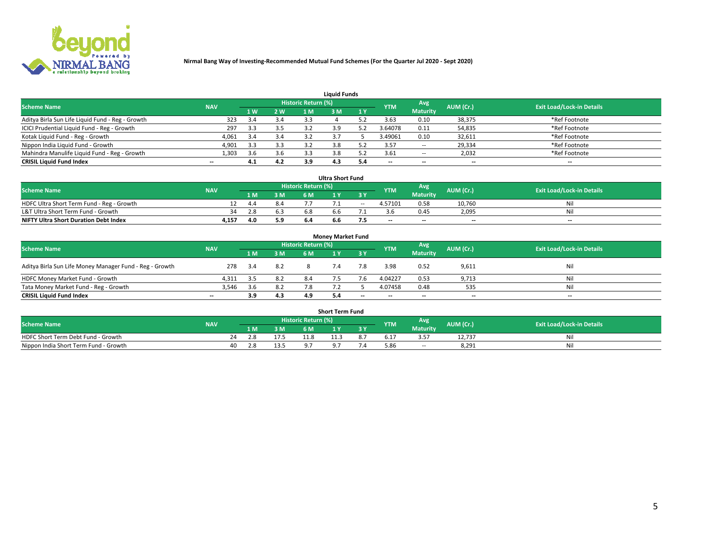

| <b>Liquid Funds</b>                              |            |     |     |                     |     |     |            |                 |           |                                  |  |  |  |  |
|--------------------------------------------------|------------|-----|-----|---------------------|-----|-----|------------|-----------------|-----------|----------------------------------|--|--|--|--|
| <b>Scheme Name</b>                               | <b>NAV</b> |     |     | Historic Return (%) |     |     | <b>YTM</b> | <b>Avg</b>      | AUM (Cr.) | <b>Exit Load/Lock-in Details</b> |  |  |  |  |
|                                                  |            | 4W  | 2 W | 1 M                 | M   | 1 Y |            | <b>Maturity</b> |           |                                  |  |  |  |  |
| Aditya Birla Sun Life Liquid Fund - Reg - Growth | 323        |     | 3.4 | 3.3                 |     |     | 3.63       | 0.10            | 38,375    | *Ref Footnote                    |  |  |  |  |
| ICICI Prudential Liquid Fund - Reg - Growth      | 297        | 3.3 | 3.5 |                     |     |     | 3.64078    | 0.11            | 54,835    | *Ref Footnote                    |  |  |  |  |
| Kotak Liquid Fund - Reg - Growth                 | 4,061      | 3.4 | 3.4 |                     |     |     | 3.49061    | 0.10            | 32,611    | *Ref Footnote                    |  |  |  |  |
| Nippon India Liquid Fund - Growth                | 4,901      | 3.3 | 3.3 |                     |     |     | 3.57       | $\sim$ $-$      | 29,334    | *Ref Footnote                    |  |  |  |  |
| Mahindra Manulife Liquid Fund - Reg - Growth     | 1,303      | 3.6 | 3.6 | 3.3                 |     |     | 3.61       | $\sim$ $-$      | 2,032     | *Ref Footnote                    |  |  |  |  |
| <b>CRISIL Liquid Fund Index</b>                  | $- -$      | 4.1 | 4.2 | 3.9                 | 4.3 |     | --         | $- -$           | --        | $\overline{\phantom{a}}$         |  |  |  |  |

| <b>Ultra Short Fund</b>                      |            |      |     |                            |     |            |                          |                 |                          |                                  |  |  |  |  |
|----------------------------------------------|------------|------|-----|----------------------------|-----|------------|--------------------------|-----------------|--------------------------|----------------------------------|--|--|--|--|
| <b>Scheme Name</b>                           | <b>NAV</b> |      |     | <b>Historic Return (%)</b> |     |            | <b>YTM</b>               | Avg             | AUM (Cr.)                | <b>Exit Load/Lock-in Details</b> |  |  |  |  |
|                                              |            | 1 M. | 3 M | 6 M                        |     | <b>3 Y</b> |                          | <b>Maturity</b> |                          |                                  |  |  |  |  |
| HDFC Ultra Short Term Fund - Reg - Growth    |            | -4.4 | 8.4 |                            |     | $\sim$     | 4.57101                  | 0.58            | 10.760                   | Nil                              |  |  |  |  |
| L&T Ultra Short Term Fund - Growth           | 34         | 2.8  | 6.3 |                            | h h |            |                          | 0.45            | 2,095                    | Nil                              |  |  |  |  |
| <b>NIFTY Ultra Short Duration Debt Index</b> | 4,157      | 4.0  | 5.9 | 6.4                        | b.b |            | $\overline{\phantom{a}}$ | $- -$           | $\overline{\phantom{a}}$ | $- -$                            |  |  |  |  |

| <b>Money Market Fund</b>                                |                          |     |     |                     |  |       |                          |                 |                          |                                  |  |  |  |  |
|---------------------------------------------------------|--------------------------|-----|-----|---------------------|--|-------|--------------------------|-----------------|--------------------------|----------------------------------|--|--|--|--|
| <b>Scheme Name</b>                                      | <b>NAV</b>               |     |     | Historic Return (%) |  |       | <b>YTM</b>               | Avg             | AUM (Cr.)                | <b>Exit Load/Lock-in Details</b> |  |  |  |  |
|                                                         |                          | 1 M | 3 M | 6 M                 |  | 3 Y   |                          | <b>Maturity</b> |                          |                                  |  |  |  |  |
| Aditya Birla Sun Life Money Manager Fund - Reg - Growth | 278                      | 3.4 | 8.2 |                     |  | 7.8   | 3.98                     | 0.52            | 9,611                    | Nil                              |  |  |  |  |
| HDFC Money Market Fund - Growth                         | 4.311                    | 3.5 | 8.2 | 8.4                 |  |       | 4.04227                  | 0.53            | 9,713                    | Nil                              |  |  |  |  |
| Tata Money Market Fund - Reg - Growth                   | 3,546                    | 3.6 | 8.2 | 7.8                 |  |       | 4.07458                  | 0.48            | 535                      | Nil                              |  |  |  |  |
| <b>CRISIL Liquid Fund Index</b>                         | $\overline{\phantom{a}}$ | 3.9 | 4.3 | 4.9                 |  | $- -$ | $\overline{\phantom{a}}$ | $- -$           | $\overline{\phantom{a}}$ | $\overline{\phantom{a}}$         |  |  |  |  |

|                                       |            |    |     |     |                     | <b>Short Term Fund</b> |     |            |                 |           |                                  |
|---------------------------------------|------------|----|-----|-----|---------------------|------------------------|-----|------------|-----------------|-----------|----------------------------------|
| <b>Scheme Name</b>                    | <b>NAV</b> |    |     |     | Historic Return (%) |                        |     | <b>YTM</b> | Avg             | AUM (Cr.) | <b>Exit Load/Lock-in Details</b> |
|                                       |            |    | LM. | 3 M | 6 M.                | $\overline{M}$         | 3 Y |            | <b>Maturity</b> |           |                                  |
| HDFC Short Term Debt Fund - Growth    |            | 74 | ٤.δ |     |                     |                        |     | b.1        |                 | 12,737    | M                                |
| Nippon India Short Term Fund - Growth |            | 40 | 2.8 |     |                     |                        |     |            | $\sim$ $-$      | 8,291     | N                                |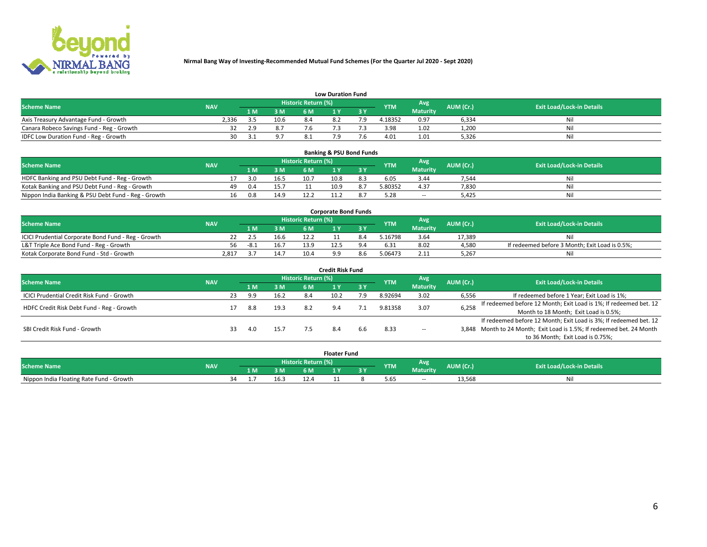

|                                           | <b>Low Duration Fund</b> |      |      |                     |         |     |            |                 |           |                                  |  |  |  |  |  |
|-------------------------------------------|--------------------------|------|------|---------------------|---------|-----|------------|-----------------|-----------|----------------------------------|--|--|--|--|--|
| <b>Scheme Name</b>                        | <b>NAV</b>               |      |      | Historic Return (%) |         |     | <b>YTM</b> | <b>Avg</b>      | AUM (Cr.) | <b>Exit Load/Lock-in Details</b> |  |  |  |  |  |
|                                           |                          | 1 M. | 3 M  | 6 M                 |         | 2 V |            | <b>Maturity</b> |           |                                  |  |  |  |  |  |
| Axis Treasury Advantage Fund - Growth     | 2.336                    |      | 10.6 |                     | $\circ$ |     | 4.18352    | 0.97            | 6,334     | Nil                              |  |  |  |  |  |
| Canara Robeco Savings Fund - Reg - Growth |                          | 2.9  | 8.7  | r.b                 |         |     | 3.98       | 1.02            | 1,200     | Nil                              |  |  |  |  |  |
| IDFC Low Duration Fund - Reg - Growth     | 30                       | -21  | 9.7  |                     |         |     | 4.01       | 1.01            | 5,326     | Nil                              |  |  |  |  |  |

| <b>Banking &amp; PSU Bond Funds</b>                                                                                           |  |    |     |      |      |      |                               |         |                 |       |    |  |  |  |
|-------------------------------------------------------------------------------------------------------------------------------|--|----|-----|------|------|------|-------------------------------|---------|-----------------|-------|----|--|--|--|
| Historic Return (%)<br>Avg<br><b>Exit Load/Lock-in Details</b><br>AUM (Cr.)<br><b>Scheme Name</b><br><b>NAV</b><br><b>YTM</b> |  |    |     |      |      |      |                               |         |                 |       |    |  |  |  |
|                                                                                                                               |  |    | 1 M | 3 M  | 6 M  |      | $\overline{3}$ $\overline{V}$ |         | <b>Maturity</b> |       |    |  |  |  |
| HDFC Banking and PSU Debt Fund - Reg - Growth                                                                                 |  |    | 3.0 | 16.5 | 10.7 | 10.8 | 8.3                           | 6.05    | 3.44            | 7,544 | Νi |  |  |  |
| Kotak Banking and PSU Debt Fund - Reg - Growth                                                                                |  | 49 | 0.4 | 15.7 |      | 10.9 | 8.7                           | 5.80352 | 4.37            | 7,830 | Ni |  |  |  |
| Nippon India Banking & PSU Debt Fund - Reg - Growth                                                                           |  | 16 | 0.8 | 14.9 |      |      |                               |         | --              | 5.425 | Ni |  |  |  |

| <b>Corporate Bond Funds</b>                         |            |        |      |                            |  |  |            |          |           |                                                |  |  |  |  |
|-----------------------------------------------------|------------|--------|------|----------------------------|--|--|------------|----------|-----------|------------------------------------------------|--|--|--|--|
| <b>Scheme Name</b>                                  | <b>NAV</b> |        |      | <b>Historic Return (%)</b> |  |  | <b>YTM</b> | Avg      | AUM (Cr.) | <b>Exit Load/Lock-in Details</b>               |  |  |  |  |
|                                                     |            |        | 3 M  | 6 M                        |  |  |            | Maturity |           |                                                |  |  |  |  |
| ICICI Prudential Corporate Bond Fund - Reg - Growth |            |        | 16.6 |                            |  |  | .16798     | 3.64     | 17.389    | Nil                                            |  |  |  |  |
| L&T Triple Ace Bond Fund - Reg - Growth             | 56         | $-8.1$ | 16.7 | 13.9                       |  |  | 6.31       | 8.02     | 4,580     | If redeemed before 3 Month; Exit Load is 0.5%; |  |  |  |  |
| Kotak Corporate Bond Fund - Std - Growth            | 2,817      |        | 14.7 | 10.4                       |  |  | 5.06473    | 2.11     | 5,267     | Nil                                            |  |  |  |  |

| <b>Credit Risk Fund</b>                    |            |    |     |      |                            |      |           |            |                 |           |                                                                       |  |  |  |
|--------------------------------------------|------------|----|-----|------|----------------------------|------|-----------|------------|-----------------|-----------|-----------------------------------------------------------------------|--|--|--|
| <b>Scheme Name</b>                         | <b>NAV</b> |    |     |      | <b>Historic Return (%)</b> |      |           | <b>YTM</b> | Avg             | AUM (Cr.) | <b>Exit Load/Lock-in Details</b>                                      |  |  |  |
|                                            |            |    | 1 M | 3 M  | 6 M                        |      | <b>3Y</b> |            | <b>Maturity</b> |           |                                                                       |  |  |  |
| ICICI Prudential Credit Risk Fund - Growth |            | 23 | 9.9 | 16.2 | 8.4                        | 10.2 | 7.9       | 8.92694    | 3.02            | 6,556     | If redeemed before 1 Year; Exit Load is 1%;                           |  |  |  |
| HDFC Credit Risk Debt Fund - Reg - Growth  |            |    | 8.8 | 19.3 | 8.2                        |      |           | 9.81358    | 3.07            | 6,258     | If redeemed before 12 Month; Exit Load is 1%; If redeemed bet. 12     |  |  |  |
|                                            |            |    |     |      |                            |      |           |            |                 |           | Month to 18 Month; Exit Load is 0.5%;                                 |  |  |  |
|                                            |            |    |     |      |                            |      |           |            |                 |           | If redeemed before 12 Month; Exit Load is 3%; If redeemed bet. 12     |  |  |  |
| SBI Credit Risk Fund - Growth              |            | 33 | 4.0 | 15.7 |                            |      | b.b       | 8.33       | $\sim$ $-$      |           | 3,848 Month to 24 Month; Exit Load is 1.5%; If redeemed bet. 24 Month |  |  |  |
|                                            |            |    |     |      |                            |      |           |            |                 |           | to 36 Month; Exit Load is 0.75%;                                      |  |  |  |

| <b>Floater Fund</b>                      |            |    |     |     |                            |     |     |            |                 |            |                                  |
|------------------------------------------|------------|----|-----|-----|----------------------------|-----|-----|------------|-----------------|------------|----------------------------------|
| <b>Scheme Name</b>                       | <b>NAV</b> |    |     |     | <b>Historic Return (%)</b> |     |     | <b>YTM</b> | Avg             | AUM (Cr.). | <b>Exit Load/Lock-in Details</b> |
|                                          |            |    | 1 M | 3 M | 6 M'                       | i v | י כ |            | <b>Maturity</b> |            |                                  |
| Nippon India Floating Rate Fund - Growth |            | ≺⊿ |     |     |                            |     |     | 5.65       | $\sim$ $-$      | 13,568     | Νı                               |